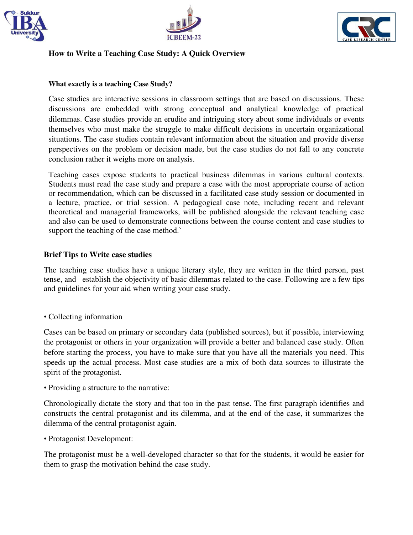





### **How to Write a Teaching Case Study: A Quick Overview**

#### **What exactly is a teaching Case Study?**

Case studies are interactive sessions in classroom settings that are based on discussions. These discussions are embedded with strong conceptual and analytical knowledge of practical dilemmas. Case studies provide an erudite and intriguing story about some individuals or events themselves who must make the struggle to make difficult decisions in uncertain organizational situations. The case studies contain relevant information about the situation and provide diverse perspectives on the problem or decision made, but the case studies do not fall to any concrete conclusion rather it weighs more on analysis.

Teaching cases expose students to practical business dilemmas in various cultural contexts. Students must read the case study and prepare a case with the most appropriate course of action or recommendation, which can be discussed in a facilitated case study session or documented in a lecture, practice, or trial session. A pedagogical case note, including recent and relevant theoretical and managerial frameworks, will be published alongside the relevant teaching case and also can be used to demonstrate connections between the course content and case studies to support the teaching of the case method.`

#### **Brief Tips to Write case studies**

The teaching case studies have a unique literary style, they are written in the third person, past tense, and establish the objectivity of basic dilemmas related to the case. Following are a few tips and guidelines for your aid when writing your case study.

• Collecting information

Cases can be based on primary or secondary data (published sources), but if possible, interviewing the protagonist or others in your organization will provide a better and balanced case study. Often before starting the process, you have to make sure that you have all the materials you need. This speeds up the actual process. Most case studies are a mix of both data sources to illustrate the spirit of the protagonist.

• Providing a structure to the narrative:

Chronologically dictate the story and that too in the past tense. The first paragraph identifies and constructs the central protagonist and its dilemma, and at the end of the case, it summarizes the dilemma of the central protagonist again.

• Protagonist Development:

The protagonist must be a well-developed character so that for the students, it would be easier for them to grasp the motivation behind the case study.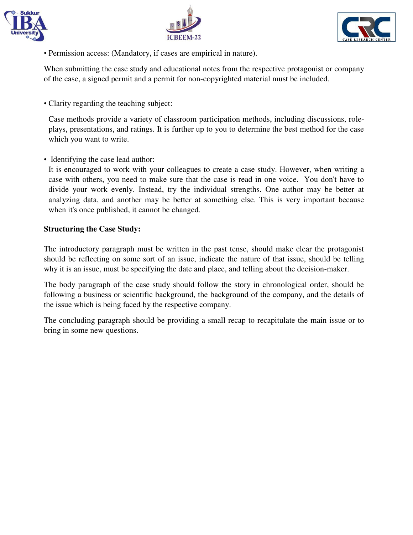





• Permission access: (Mandatory, if cases are empirical in nature).

When submitting the case study and educational notes from the respective protagonist or company of the case, a signed permit and a permit for non-copyrighted material must be included.

• Clarity regarding the teaching subject:

Case methods provide a variety of classroom participation methods, including discussions, roleplays, presentations, and ratings. It is further up to you to determine the best method for the case which you want to write.

• Identifying the case lead author:

It is encouraged to work with your colleagues to create a case study. However, when writing a case with others, you need to make sure that the case is read in one voice. You don't have to divide your work evenly. Instead, try the individual strengths. One author may be better at analyzing data, and another may be better at something else. This is very important because when it's once published, it cannot be changed.

# **Structuring the Case Study:**

The introductory paragraph must be written in the past tense, should make clear the protagonist should be reflecting on some sort of an issue, indicate the nature of that issue, should be telling why it is an issue, must be specifying the date and place, and telling about the decision-maker.

The body paragraph of the case study should follow the story in chronological order, should be following a business or scientific background, the background of the company, and the details of the issue which is being faced by the respective company.

The concluding paragraph should be providing a small recap to recapitulate the main issue or to bring in some new questions.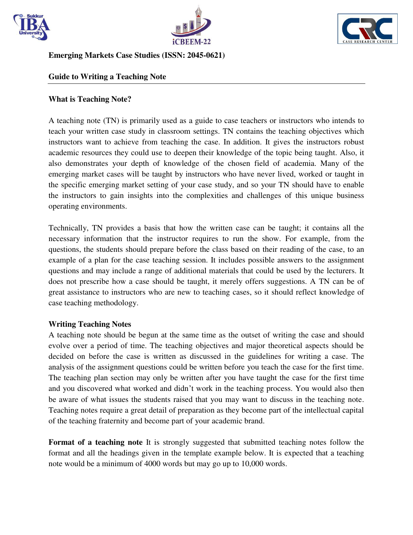





**Emerging Markets Case Studies (ISSN: 2045-0621)** 

### **Guide to Writing a Teaching Note**

### **What is Teaching Note?**

A teaching note (TN) is primarily used as a guide to case teachers or instructors who intends to teach your written case study in classroom settings. TN contains the teaching objectives which instructors want to achieve from teaching the case. In addition. It gives the instructors robust academic resources they could use to deepen their knowledge of the topic being taught. Also, it also demonstrates your depth of knowledge of the chosen field of academia. Many of the emerging market cases will be taught by instructors who have never lived, worked or taught in the specific emerging market setting of your case study, and so your TN should have to enable the instructors to gain insights into the complexities and challenges of this unique business operating environments.

Technically, TN provides a basis that how the written case can be taught; it contains all the necessary information that the instructor requires to run the show. For example, from the questions, the students should prepare before the class based on their reading of the case, to an example of a plan for the case teaching session. It includes possible answers to the assignment questions and may include a range of additional materials that could be used by the lecturers. It does not prescribe how a case should be taught, it merely offers suggestions. A TN can be of great assistance to instructors who are new to teaching cases, so it should reflect knowledge of case teaching methodology.

### **Writing Teaching Notes**

A teaching note should be begun at the same time as the outset of writing the case and should evolve over a period of time. The teaching objectives and major theoretical aspects should be decided on before the case is written as discussed in the guidelines for writing a case. The analysis of the assignment questions could be written before you teach the case for the first time. The teaching plan section may only be written after you have taught the case for the first time and you discovered what worked and didn't work in the teaching process. You would also then be aware of what issues the students raised that you may want to discuss in the teaching note. Teaching notes require a great detail of preparation as they become part of the intellectual capital of the teaching fraternity and become part of your academic brand.

**Format of a teaching note** It is strongly suggested that submitted teaching notes follow the format and all the headings given in the template example below. It is expected that a teaching note would be a minimum of 4000 words but may go up to 10,000 words.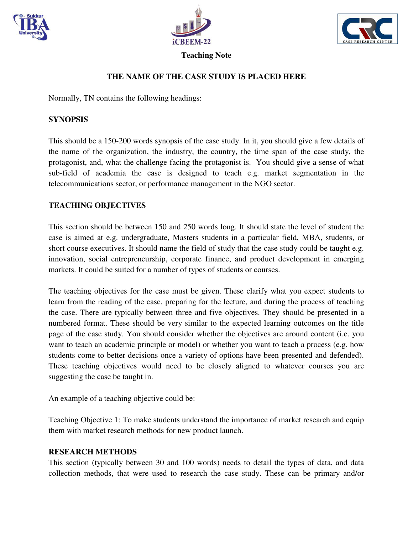



**Teaching Note** 



## **THE NAME OF THE CASE STUDY IS PLACED HERE**

Normally, TN contains the following headings:

#### **SYNOPSIS**

This should be a 150-200 words synopsis of the case study. In it, you should give a few details of the name of the organization, the industry, the country, the time span of the case study, the protagonist, and, what the challenge facing the protagonist is. You should give a sense of what sub-field of academia the case is designed to teach e.g. market segmentation in the telecommunications sector, or performance management in the NGO sector.

### **TEACHING OBJECTIVES**

This section should be between 150 and 250 words long. It should state the level of student the case is aimed at e.g. undergraduate, Masters students in a particular field, MBA, students, or short course executives. It should name the field of study that the case study could be taught e.g. innovation, social entrepreneurship, corporate finance, and product development in emerging markets. It could be suited for a number of types of students or courses.

The teaching objectives for the case must be given. These clarify what you expect students to learn from the reading of the case, preparing for the lecture, and during the process of teaching the case. There are typically between three and five objectives. They should be presented in a numbered format. These should be very similar to the expected learning outcomes on the title page of the case study. You should consider whether the objectives are around content (i.e. you want to teach an academic principle or model) or whether you want to teach a process (e.g. how students come to better decisions once a variety of options have been presented and defended). These teaching objectives would need to be closely aligned to whatever courses you are suggesting the case be taught in.

An example of a teaching objective could be:

Teaching Objective 1: To make students understand the importance of market research and equip them with market research methods for new product launch.

#### **RESEARCH METHODS**

This section (typically between 30 and 100 words) needs to detail the types of data, and data collection methods, that were used to research the case study. These can be primary and/or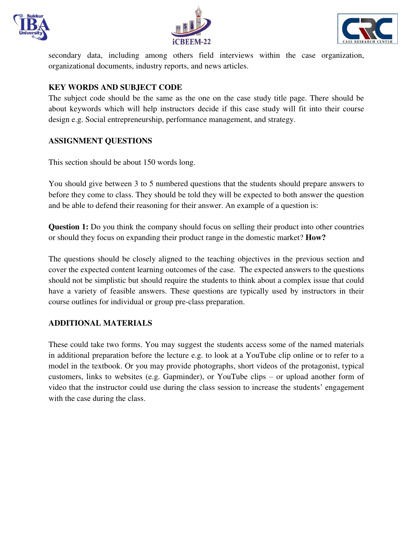





secondary data, including among others field interviews within the case organization, organizational documents, industry reports, and news articles.

## **KEY WORDS AND SUBJECT CODE**

The subject code should be the same as the one on the case study title page. There should be about keywords which will help instructors decide if this case study will fit into their course design e.g. Social entrepreneurship, performance management, and strategy.

### **ASSIGNMENT QUESTIONS**

This section should be about 150 words long.

You should give between 3 to 5 numbered questions that the students should prepare answers to before they come to class. They should be told they will be expected to both answer the question and be able to defend their reasoning for their answer. An example of a question is:

**Question 1:** Do you think the company should focus on selling their product into other countries or should they focus on expanding their product range in the domestic market? **How?** 

The questions should be closely aligned to the teaching objectives in the previous section and cover the expected content learning outcomes of the case. The expected answers to the questions should not be simplistic but should require the students to think about a complex issue that could have a variety of feasible answers. These questions are typically used by instructors in their course outlines for individual or group pre-class preparation.

### **ADDITIONAL MATERIALS**

These could take two forms. You may suggest the students access some of the named materials in additional preparation before the lecture e.g. to look at a YouTube clip online or to refer to a model in the textbook. Or you may provide photographs, short videos of the protagonist, typical customers, links to websites (e.g. Gapminder), or YouTube clips – or upload another form of video that the instructor could use during the class session to increase the students' engagement with the case during the class.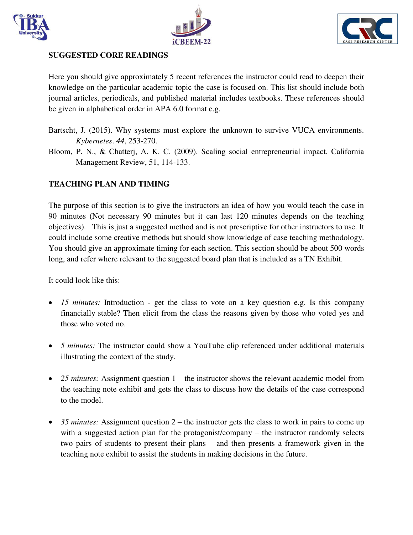





### **SUGGESTED CORE READINGS**

Here you should give approximately 5 recent references the instructor could read to deepen their knowledge on the particular academic topic the case is focused on. This list should include both journal articles, periodicals, and published material includes textbooks. These references should be given in alphabetical order in APA 6.0 format e.g.

- Bartscht, J. (2015). Why systems must explore the unknown to survive VUCA environments. *Kybernetes*. *44*, 253-270.
- Bloom, P. N., & Chatterj, A. K. C. (2009). Scaling social entrepreneurial impact. California Management Review, 51, 114-133.

# **TEACHING PLAN AND TIMING**

The purpose of this section is to give the instructors an idea of how you would teach the case in 90 minutes (Not necessary 90 minutes but it can last 120 minutes depends on the teaching objectives). This is just a suggested method and is not prescriptive for other instructors to use. It could include some creative methods but should show knowledge of case teaching methodology. You should give an approximate timing for each section. This section should be about 500 words long, and refer where relevant to the suggested board plan that is included as a TN Exhibit.

It could look like this:

- *15 minutes:* Introduction get the class to vote on a key question e.g. Is this company financially stable? Then elicit from the class the reasons given by those who voted yes and those who voted no.
- *5 minutes:* The instructor could show a YouTube clip referenced under additional materials illustrating the context of the study.
- 25 *minutes:* Assignment question 1 the instructor shows the relevant academic model from the teaching note exhibit and gets the class to discuss how the details of the case correspond to the model.
- 35 *minutes:* Assignment question 2 the instructor gets the class to work in pairs to come up with a suggested action plan for the protagonist/company – the instructor randomly selects two pairs of students to present their plans – and then presents a framework given in the teaching note exhibit to assist the students in making decisions in the future.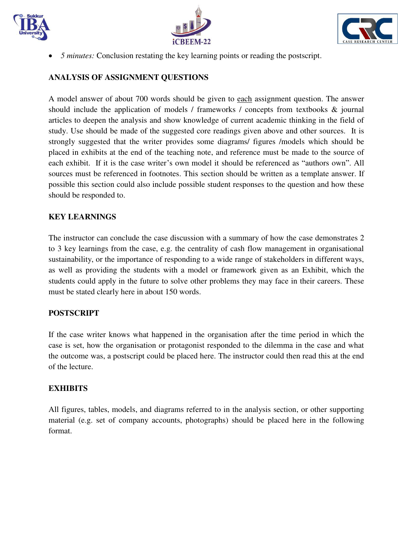





*5 minutes:* Conclusion restating the key learning points or reading the postscript.

# **ANALYSIS OF ASSIGNMENT QUESTIONS**

A model answer of about 700 words should be given to each assignment question. The answer should include the application of models / frameworks / concepts from textbooks & journal articles to deepen the analysis and show knowledge of current academic thinking in the field of study. Use should be made of the suggested core readings given above and other sources. It is strongly suggested that the writer provides some diagrams/ figures /models which should be placed in exhibits at the end of the teaching note, and reference must be made to the source of each exhibit. If it is the case writer's own model it should be referenced as "authors own". All sources must be referenced in footnotes. This section should be written as a template answer. If possible this section could also include possible student responses to the question and how these should be responded to.

### **KEY LEARNINGS**

The instructor can conclude the case discussion with a summary of how the case demonstrates 2 to 3 key learnings from the case, e.g. the centrality of cash flow management in organisational sustainability, or the importance of responding to a wide range of stakeholders in different ways, as well as providing the students with a model or framework given as an Exhibit, which the students could apply in the future to solve other problems they may face in their careers. These must be stated clearly here in about 150 words.

### **POSTSCRIPT**

If the case writer knows what happened in the organisation after the time period in which the case is set, how the organisation or protagonist responded to the dilemma in the case and what the outcome was, a postscript could be placed here. The instructor could then read this at the end of the lecture.

### **EXHIBITS**

All figures, tables, models, and diagrams referred to in the analysis section, or other supporting material (e.g. set of company accounts, photographs) should be placed here in the following format.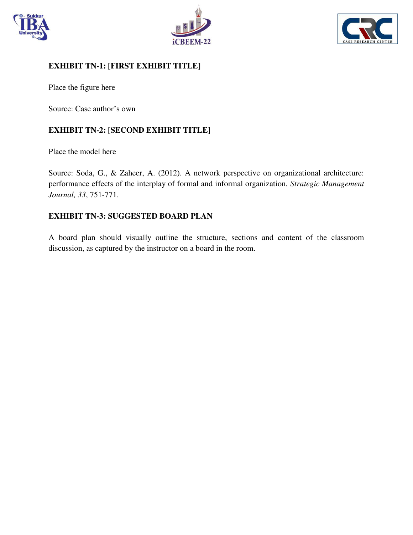





## **EXHIBIT TN-1: [FIRST EXHIBIT TITLE]**

Place the figure here

Source: Case author's own

# **EXHIBIT TN-2: [SECOND EXHIBIT TITLE]**

Place the model here

Source: Soda, G., & Zaheer, A. (2012). A network perspective on organizational architecture: performance effects of the interplay of formal and informal organization*. Strategic Management Journal, 33*, 751-771.

### **EXHIBIT TN-3: SUGGESTED BOARD PLAN**

A board plan should visually outline the structure, sections and content of the classroom discussion, as captured by the instructor on a board in the room.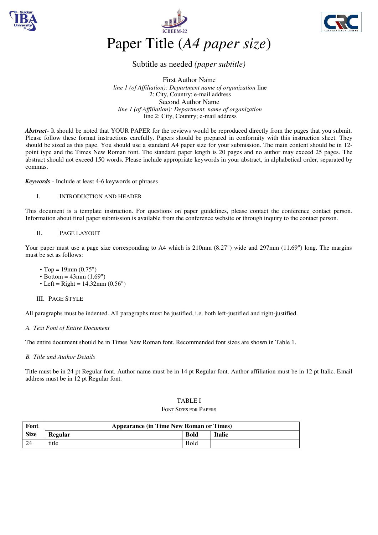





### Subtitle as needed *(paper subtitle)*

First Author Name *line 1 (of Affiliation): Department name of organization* line 2: City, Country; e-mail address Second Author Name *line 1 (of Affiliation): Department. name of organization* line 2: City, Country; e-mail address

*Abstract*- It should be noted that YOUR PAPER for the reviews would be reproduced directly from the pages that you submit. Please follow these format instructions carefully. Papers should be prepared in conformity with this instruction sheet. They should be sized as this page. You should use a standard A4 paper size for your submission. The main content should be in 12 point type and the Times New Roman font. The standard paper length is 20 pages and no author may exceed 25 pages. The abstract should not exceed 150 words. Please include appropriate keywords in your abstract, in alphabetical order, separated by commas.

*Keywords* - Include at least 4-6 keywords or phrases

#### I. INTRODUCTION AND HEADER

This document is a template instruction. For questions on paper guidelines, please contact the conference contact person. Information about final paper submission is available from the conference website or through inquiry to the contact person.

#### II. PAGE LAYOUT

Your paper must use a page size corresponding to A4 which is 210mm (8.27") wide and 297mm (11.69") long. The margins must be set as follows:

- Top = 19mm  $(0.75")$
- Bottom =  $43$ mm  $(1.69")$
- Left =  $Right = 14.32$ mm  $(0.56")$

III. PAGE STYLE

All paragraphs must be indented. All paragraphs must be justified, i.e. both left-justified and right-justified.

#### *A. Text Font of Entire Document*

The entire document should be in Times New Roman font. Recommended font sizes are shown in Table 1.

#### *B. Title and Author Details*

Title must be in 24 pt Regular font. Author name must be in 14 pt Regular font. Author affiliation must be in 12 pt Italic. Email address must be in 12 pt Regular font.

# TABLE I

#### FONT SIZES FOR PAPERS

| Font        | Appearance (in Time New Roman or Times) |             |               |
|-------------|-----------------------------------------|-------------|---------------|
| <b>Size</b> | <b>Regular</b>                          | <b>Bold</b> | <b>Italic</b> |
| 24          | title                                   | <b>Bold</b> |               |